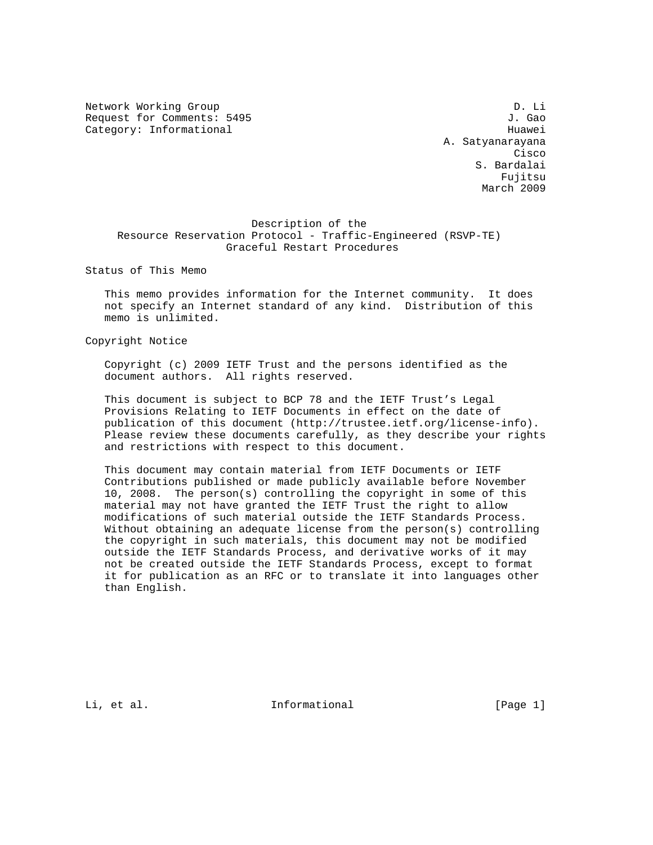Network Working Group Decays and the United States of D. Li Request for Comments: 5495 J. Gao Category: Informational example of the contract of the Huawei

 A. Satyanarayana **Cisco de la contrata de la contrata de la contrata de la contrata de la contrata de la contrata de la contrat**  S. Bardalai Fujitsu March 2009

 Description of the Resource Reservation Protocol - Traffic-Engineered (RSVP-TE) Graceful Restart Procedures

Status of This Memo

 This memo provides information for the Internet community. It does not specify an Internet standard of any kind. Distribution of this memo is unlimited.

Copyright Notice

 Copyright (c) 2009 IETF Trust and the persons identified as the document authors. All rights reserved.

 This document is subject to BCP 78 and the IETF Trust's Legal Provisions Relating to IETF Documents in effect on the date of publication of this document (http://trustee.ietf.org/license-info). Please review these documents carefully, as they describe your rights and restrictions with respect to this document.

 This document may contain material from IETF Documents or IETF Contributions published or made publicly available before November 10, 2008. The person(s) controlling the copyright in some of this material may not have granted the IETF Trust the right to allow modifications of such material outside the IETF Standards Process. Without obtaining an adequate license from the person(s) controlling the copyright in such materials, this document may not be modified outside the IETF Standards Process, and derivative works of it may not be created outside the IETF Standards Process, except to format it for publication as an RFC or to translate it into languages other than English.

Li, et al. 10 mm informational 1.1 mm informational [Page 1]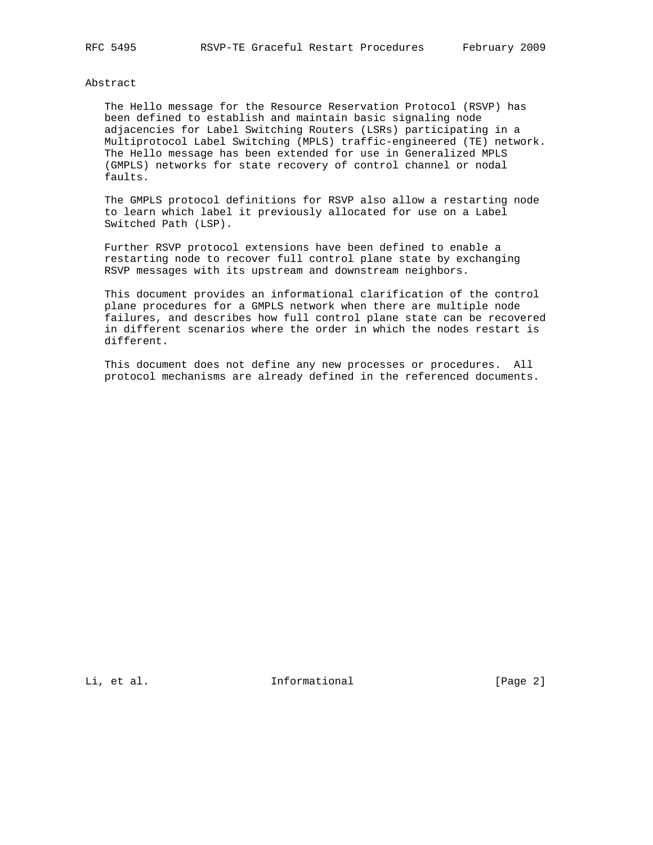## Abstract

 The Hello message for the Resource Reservation Protocol (RSVP) has been defined to establish and maintain basic signaling node adjacencies for Label Switching Routers (LSRs) participating in a Multiprotocol Label Switching (MPLS) traffic-engineered (TE) network. The Hello message has been extended for use in Generalized MPLS (GMPLS) networks for state recovery of control channel or nodal faults.

 The GMPLS protocol definitions for RSVP also allow a restarting node to learn which label it previously allocated for use on a Label Switched Path (LSP).

 Further RSVP protocol extensions have been defined to enable a restarting node to recover full control plane state by exchanging RSVP messages with its upstream and downstream neighbors.

 This document provides an informational clarification of the control plane procedures for a GMPLS network when there are multiple node failures, and describes how full control plane state can be recovered in different scenarios where the order in which the nodes restart is different.

 This document does not define any new processes or procedures. All protocol mechanisms are already defined in the referenced documents.

Li, et al. 1nformational [Page 2]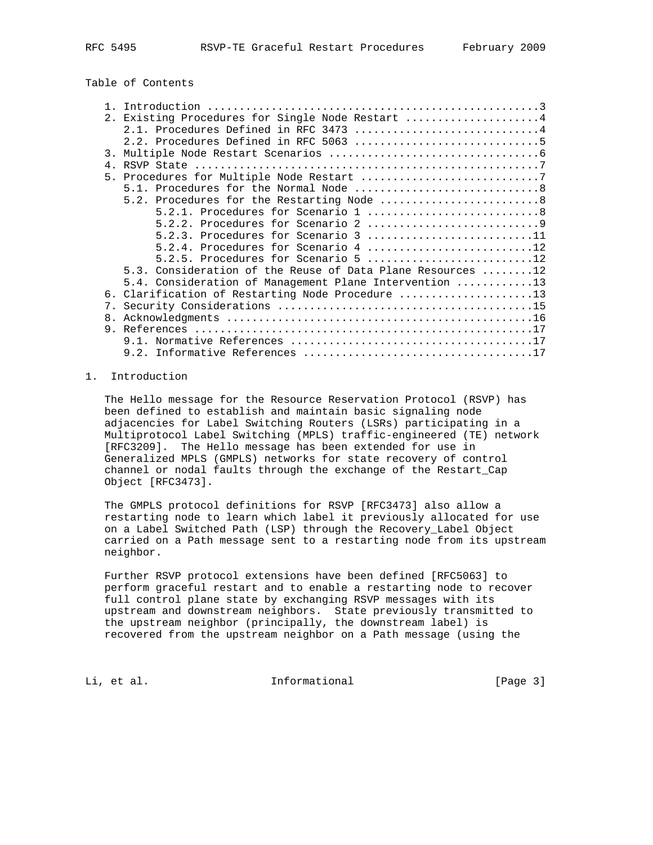Table of Contents

|             | 2. Existing Procedures for Single Node Restart 4           |
|-------------|------------------------------------------------------------|
|             | 2.1. Procedures Defined in RFC 3473 4                      |
|             |                                                            |
|             |                                                            |
| 4.          |                                                            |
|             |                                                            |
|             |                                                            |
|             | 5.2. Procedures for the Restarting Node 8                  |
|             |                                                            |
|             |                                                            |
|             | 5.2.3. Procedures for Scenario 3 11                        |
|             | 5.2.4. Procedures for Scenario 4 12                        |
|             | 5.2.5. Procedures for Scenario 5 12                        |
|             | 5.3. Consideration of the Reuse of Data Plane Resources 12 |
|             | 5.4. Consideration of Management Plane Intervention 13     |
|             | 6. Clarification of Restarting Node Procedure 13           |
| $7_{\circ}$ |                                                            |
| 8.          |                                                            |
| 9           |                                                            |
|             |                                                            |
|             |                                                            |

# 1. Introduction

 The Hello message for the Resource Reservation Protocol (RSVP) has been defined to establish and maintain basic signaling node adjacencies for Label Switching Routers (LSRs) participating in a Multiprotocol Label Switching (MPLS) traffic-engineered (TE) network [RFC3209]. The Hello message has been extended for use in Generalized MPLS (GMPLS) networks for state recovery of control channel or nodal faults through the exchange of the Restart\_Cap Object [RFC3473].

 The GMPLS protocol definitions for RSVP [RFC3473] also allow a restarting node to learn which label it previously allocated for use on a Label Switched Path (LSP) through the Recovery\_Label Object carried on a Path message sent to a restarting node from its upstream neighbor.

 Further RSVP protocol extensions have been defined [RFC5063] to perform graceful restart and to enable a restarting node to recover full control plane state by exchanging RSVP messages with its upstream and downstream neighbors. State previously transmitted to the upstream neighbor (principally, the downstream label) is recovered from the upstream neighbor on a Path message (using the

Li, et al. 10. Informational 1. [Page 3]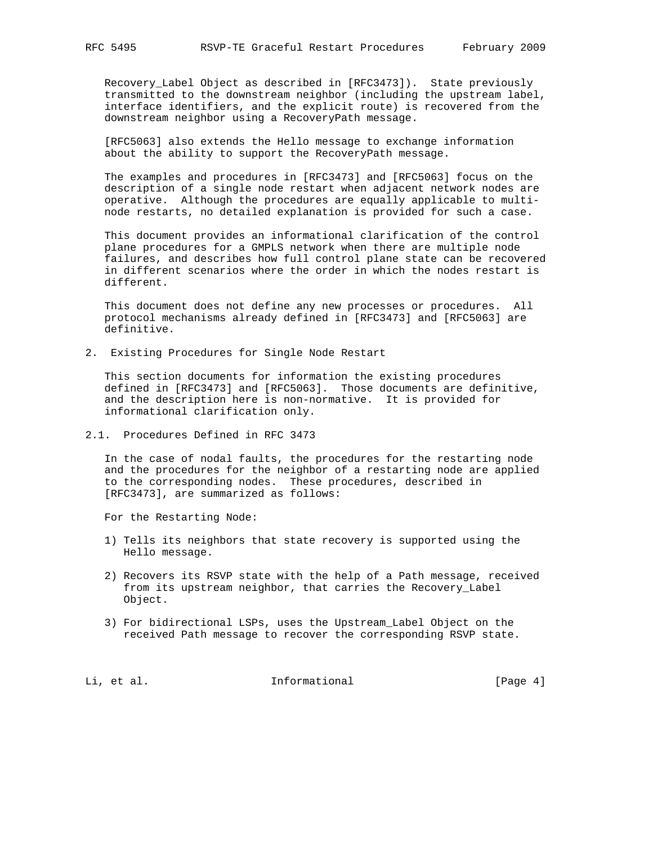Recovery\_Label Object as described in [RFC3473]). State previously transmitted to the downstream neighbor (including the upstream label, interface identifiers, and the explicit route) is recovered from the downstream neighbor using a RecoveryPath message.

 [RFC5063] also extends the Hello message to exchange information about the ability to support the RecoveryPath message.

 The examples and procedures in [RFC3473] and [RFC5063] focus on the description of a single node restart when adjacent network nodes are operative. Although the procedures are equally applicable to multi node restarts, no detailed explanation is provided for such a case.

 This document provides an informational clarification of the control plane procedures for a GMPLS network when there are multiple node failures, and describes how full control plane state can be recovered in different scenarios where the order in which the nodes restart is different.

 This document does not define any new processes or procedures. All protocol mechanisms already defined in [RFC3473] and [RFC5063] are definitive.

2. Existing Procedures for Single Node Restart

 This section documents for information the existing procedures defined in [RFC3473] and [RFC5063]. Those documents are definitive, and the description here is non-normative. It is provided for informational clarification only.

## 2.1. Procedures Defined in RFC 3473

 In the case of nodal faults, the procedures for the restarting node and the procedures for the neighbor of a restarting node are applied to the corresponding nodes. These procedures, described in [RFC3473], are summarized as follows:

For the Restarting Node:

- 1) Tells its neighbors that state recovery is supported using the Hello message.
- 2) Recovers its RSVP state with the help of a Path message, received from its upstream neighbor, that carries the Recovery\_Label Object.
- 3) For bidirectional LSPs, uses the Upstream\_Label Object on the received Path message to recover the corresponding RSVP state.

Li, et al. 11. Informational [Page 4]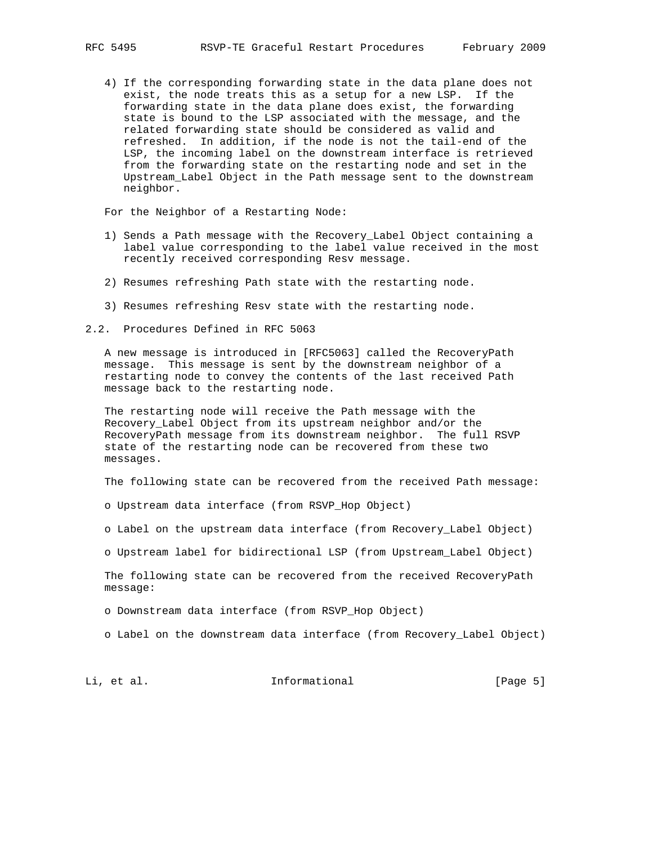4) If the corresponding forwarding state in the data plane does not exist, the node treats this as a setup for a new LSP. If the forwarding state in the data plane does exist, the forwarding state is bound to the LSP associated with the message, and the related forwarding state should be considered as valid and refreshed. In addition, if the node is not the tail-end of the LSP, the incoming label on the downstream interface is retrieved from the forwarding state on the restarting node and set in the Upstream\_Label Object in the Path message sent to the downstream neighbor.

For the Neighbor of a Restarting Node:

- 1) Sends a Path message with the Recovery\_Label Object containing a label value corresponding to the label value received in the most recently received corresponding Resv message.
- 2) Resumes refreshing Path state with the restarting node.
- 3) Resumes refreshing Resv state with the restarting node.

2.2. Procedures Defined in RFC 5063

 A new message is introduced in [RFC5063] called the RecoveryPath message. This message is sent by the downstream neighbor of a restarting node to convey the contents of the last received Path message back to the restarting node.

 The restarting node will receive the Path message with the Recovery\_Label Object from its upstream neighbor and/or the RecoveryPath message from its downstream neighbor. The full RSVP state of the restarting node can be recovered from these two messages.

The following state can be recovered from the received Path message:

o Upstream data interface (from RSVP\_Hop Object)

- o Label on the upstream data interface (from Recovery\_Label Object)
- o Upstream label for bidirectional LSP (from Upstream\_Label Object)

 The following state can be recovered from the received RecoveryPath message:

o Downstream data interface (from RSVP\_Hop Object)

o Label on the downstream data interface (from Recovery\_Label Object)

Li, et al. 10. Informational 1. [Page 5]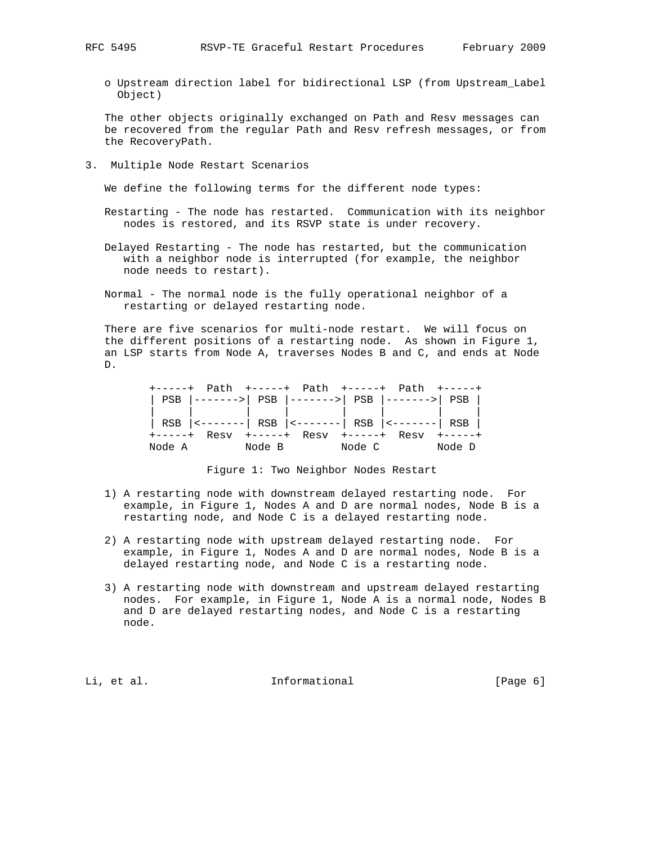o Upstream direction label for bidirectional LSP (from Upstream\_Label Object)

 The other objects originally exchanged on Path and Resv messages can be recovered from the regular Path and Resv refresh messages, or from the RecoveryPath.

3. Multiple Node Restart Scenarios

We define the following terms for the different node types:

 Restarting - The node has restarted. Communication with its neighbor nodes is restored, and its RSVP state is under recovery.

 Delayed Restarting - The node has restarted, but the communication with a neighbor node is interrupted (for example, the neighbor node needs to restart).

 Normal - The normal node is the fully operational neighbor of a restarting or delayed restarting node.

 There are five scenarios for multi-node restart. We will focus on the different positions of a restarting node. As shown in Figure 1, an LSP starts from Node A, traverses Nodes B and C, and ends at Node D.

|        |        | PSB  ------->  PSB  ------->  PSB  ------->  PSB              |        |               |
|--------|--------|---------------------------------------------------------------|--------|---------------|
|        |        |                                                               |        |               |
|        |        | RSB $ $ <-------  RSB $ $ <-------  RSB $ $ <-------  RSB $ $ |        |               |
|        |        |                                                               |        | $+ - - - - +$ |
| Node A | Node B |                                                               | Node C | Node D        |

Figure 1: Two Neighbor Nodes Restart

- 1) A restarting node with downstream delayed restarting node. For example, in Figure 1, Nodes A and D are normal nodes, Node B is a restarting node, and Node C is a delayed restarting node.
- 2) A restarting node with upstream delayed restarting node. For example, in Figure 1, Nodes A and D are normal nodes, Node B is a delayed restarting node, and Node C is a restarting node.
- 3) A restarting node with downstream and upstream delayed restarting nodes. For example, in Figure 1, Node A is a normal node, Nodes B and D are delayed restarting nodes, and Node C is a restarting node.

Li, et al. 1nformational [Page 6] [Page 6]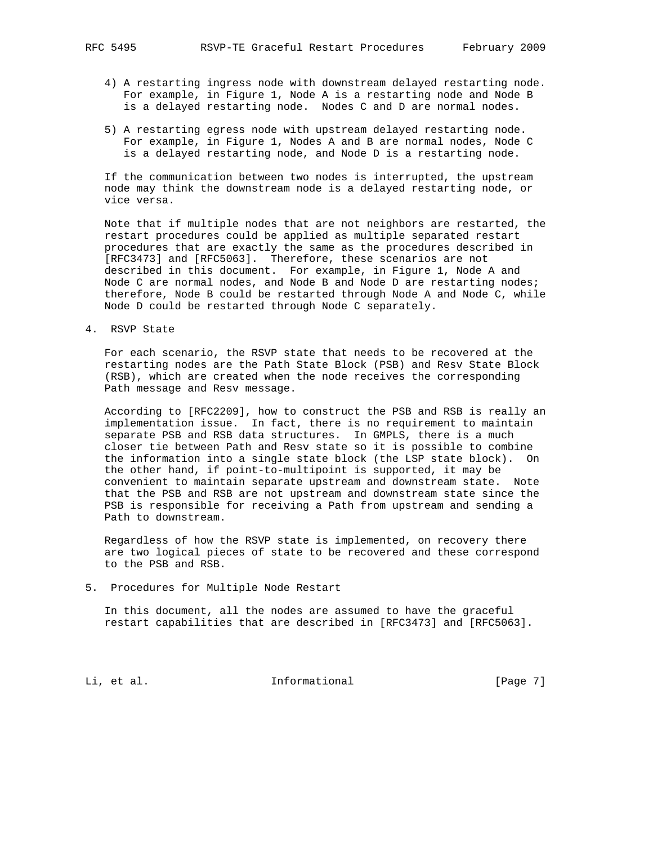- 4) A restarting ingress node with downstream delayed restarting node. For example, in Figure 1, Node A is a restarting node and Node B is a delayed restarting node. Nodes C and D are normal nodes.
- 5) A restarting egress node with upstream delayed restarting node. For example, in Figure 1, Nodes A and B are normal nodes, Node C is a delayed restarting node, and Node D is a restarting node.

 If the communication between two nodes is interrupted, the upstream node may think the downstream node is a delayed restarting node, or vice versa.

 Note that if multiple nodes that are not neighbors are restarted, the restart procedures could be applied as multiple separated restart procedures that are exactly the same as the procedures described in [RFC3473] and [RFC5063]. Therefore, these scenarios are not described in this document. For example, in Figure 1, Node A and Node C are normal nodes, and Node B and Node D are restarting nodes; therefore, Node B could be restarted through Node A and Node C, while Node D could be restarted through Node C separately.

4. RSVP State

 For each scenario, the RSVP state that needs to be recovered at the restarting nodes are the Path State Block (PSB) and Resv State Block (RSB), which are created when the node receives the corresponding Path message and Resv message.

 According to [RFC2209], how to construct the PSB and RSB is really an implementation issue. In fact, there is no requirement to maintain separate PSB and RSB data structures. In GMPLS, there is a much closer tie between Path and Resv state so it is possible to combine the information into a single state block (the LSP state block). On the other hand, if point-to-multipoint is supported, it may be convenient to maintain separate upstream and downstream state. Note that the PSB and RSB are not upstream and downstream state since the PSB is responsible for receiving a Path from upstream and sending a Path to downstream.

 Regardless of how the RSVP state is implemented, on recovery there are two logical pieces of state to be recovered and these correspond to the PSB and RSB.

5. Procedures for Multiple Node Restart

 In this document, all the nodes are assumed to have the graceful restart capabilities that are described in [RFC3473] and [RFC5063].

Li, et al. 10. Informational 1. [Page 7]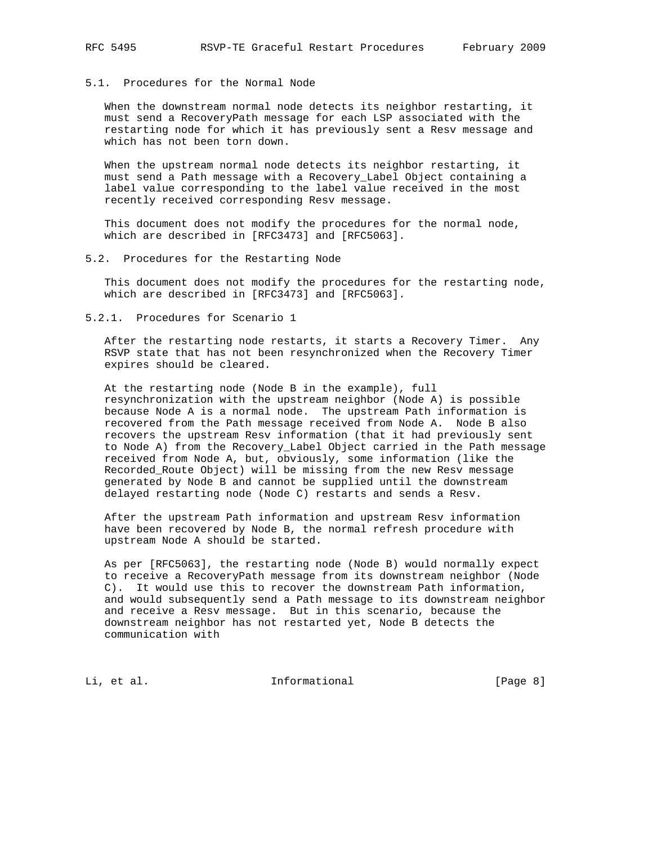# 5.1. Procedures for the Normal Node

 When the downstream normal node detects its neighbor restarting, it must send a RecoveryPath message for each LSP associated with the restarting node for which it has previously sent a Resv message and which has not been torn down.

 When the upstream normal node detects its neighbor restarting, it must send a Path message with a Recovery\_Label Object containing a label value corresponding to the label value received in the most recently received corresponding Resv message.

 This document does not modify the procedures for the normal node, which are described in [RFC3473] and [RFC5063].

## 5.2. Procedures for the Restarting Node

 This document does not modify the procedures for the restarting node, which are described in [RFC3473] and [RFC5063].

# 5.2.1. Procedures for Scenario 1

 After the restarting node restarts, it starts a Recovery Timer. Any RSVP state that has not been resynchronized when the Recovery Timer expires should be cleared.

 At the restarting node (Node B in the example), full resynchronization with the upstream neighbor (Node A) is possible because Node A is a normal node. The upstream Path information is recovered from the Path message received from Node A. Node B also recovers the upstream Resv information (that it had previously sent to Node A) from the Recovery\_Label Object carried in the Path message received from Node A, but, obviously, some information (like the Recorded\_Route Object) will be missing from the new Resv message generated by Node B and cannot be supplied until the downstream delayed restarting node (Node C) restarts and sends a Resv.

 After the upstream Path information and upstream Resv information have been recovered by Node B, the normal refresh procedure with upstream Node A should be started.

 As per [RFC5063], the restarting node (Node B) would normally expect to receive a RecoveryPath message from its downstream neighbor (Node C). It would use this to recover the downstream Path information, and would subsequently send a Path message to its downstream neighbor and receive a Resv message. But in this scenario, because the downstream neighbor has not restarted yet, Node B detects the communication with

Li, et al. **Informational** [Page 8]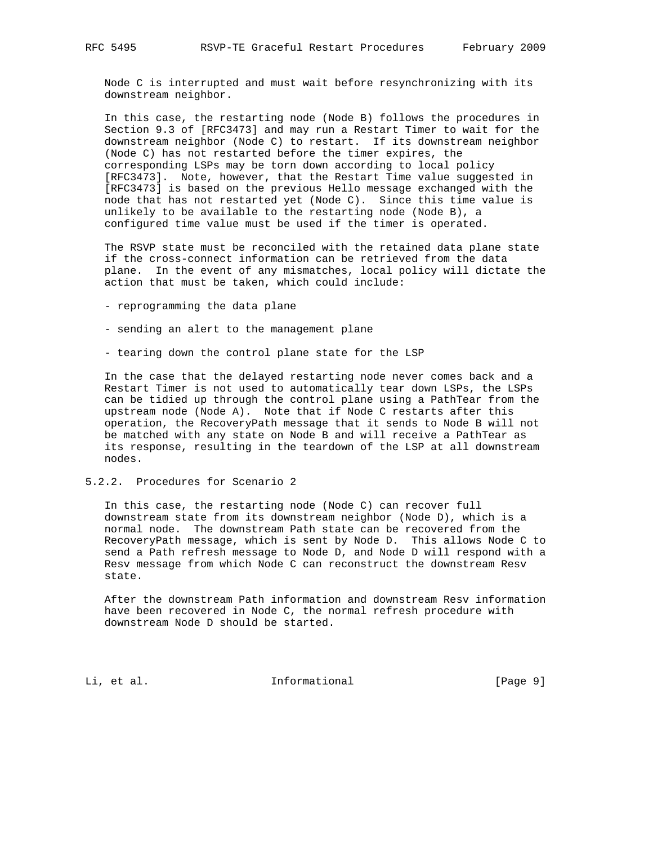Node C is interrupted and must wait before resynchronizing with its downstream neighbor.

 In this case, the restarting node (Node B) follows the procedures in Section 9.3 of [RFC3473] and may run a Restart Timer to wait for the downstream neighbor (Node C) to restart. If its downstream neighbor (Node C) has not restarted before the timer expires, the corresponding LSPs may be torn down according to local policy [RFC3473]. Note, however, that the Restart Time value suggested in [RFC3473] is based on the previous Hello message exchanged with the node that has not restarted yet (Node C). Since this time value is unlikely to be available to the restarting node (Node B), a configured time value must be used if the timer is operated.

 The RSVP state must be reconciled with the retained data plane state if the cross-connect information can be retrieved from the data plane. In the event of any mismatches, local policy will dictate the action that must be taken, which could include:

- reprogramming the data plane
- sending an alert to the management plane
- tearing down the control plane state for the LSP

 In the case that the delayed restarting node never comes back and a Restart Timer is not used to automatically tear down LSPs, the LSPs can be tidied up through the control plane using a PathTear from the upstream node (Node A). Note that if Node C restarts after this operation, the RecoveryPath message that it sends to Node B will not be matched with any state on Node B and will receive a PathTear as its response, resulting in the teardown of the LSP at all downstream nodes.

## 5.2.2. Procedures for Scenario 2

 In this case, the restarting node (Node C) can recover full downstream state from its downstream neighbor (Node D), which is a normal node. The downstream Path state can be recovered from the RecoveryPath message, which is sent by Node D. This allows Node C to send a Path refresh message to Node D, and Node D will respond with a Resv message from which Node C can reconstruct the downstream Resv state.

 After the downstream Path information and downstream Resv information have been recovered in Node C, the normal refresh procedure with downstream Node D should be started.

Li, et al. 10. Informational 1. [Page 9]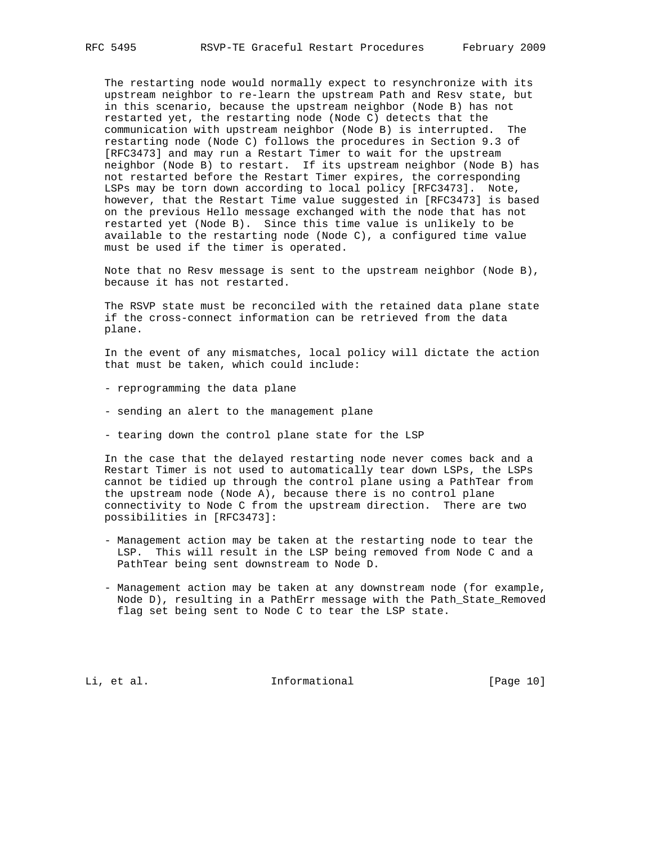The restarting node would normally expect to resynchronize with its upstream neighbor to re-learn the upstream Path and Resv state, but in this scenario, because the upstream neighbor (Node B) has not restarted yet, the restarting node (Node C) detects that the communication with upstream neighbor (Node B) is interrupted. The restarting node (Node C) follows the procedures in Section 9.3 of [RFC3473] and may run a Restart Timer to wait for the upstream neighbor (Node B) to restart. If its upstream neighbor (Node B) has not restarted before the Restart Timer expires, the corresponding LSPs may be torn down according to local policy [RFC3473]. Note, however, that the Restart Time value suggested in [RFC3473] is based on the previous Hello message exchanged with the node that has not restarted yet (Node B). Since this time value is unlikely to be available to the restarting node (Node C), a configured time value must be used if the timer is operated.

 Note that no Resv message is sent to the upstream neighbor (Node B), because it has not restarted.

 The RSVP state must be reconciled with the retained data plane state if the cross-connect information can be retrieved from the data plane.

 In the event of any mismatches, local policy will dictate the action that must be taken, which could include:

- reprogramming the data plane
- sending an alert to the management plane
- tearing down the control plane state for the LSP

 In the case that the delayed restarting node never comes back and a Restart Timer is not used to automatically tear down LSPs, the LSPs cannot be tidied up through the control plane using a PathTear from the upstream node (Node A), because there is no control plane connectivity to Node C from the upstream direction. There are two possibilities in [RFC3473]:

- Management action may be taken at the restarting node to tear the LSP. This will result in the LSP being removed from Node C and a PathTear being sent downstream to Node D.
- Management action may be taken at any downstream node (for example, Node D), resulting in a PathErr message with the Path\_State\_Removed flag set being sent to Node C to tear the LSP state.

Li, et al. 10. Informational [Page 10]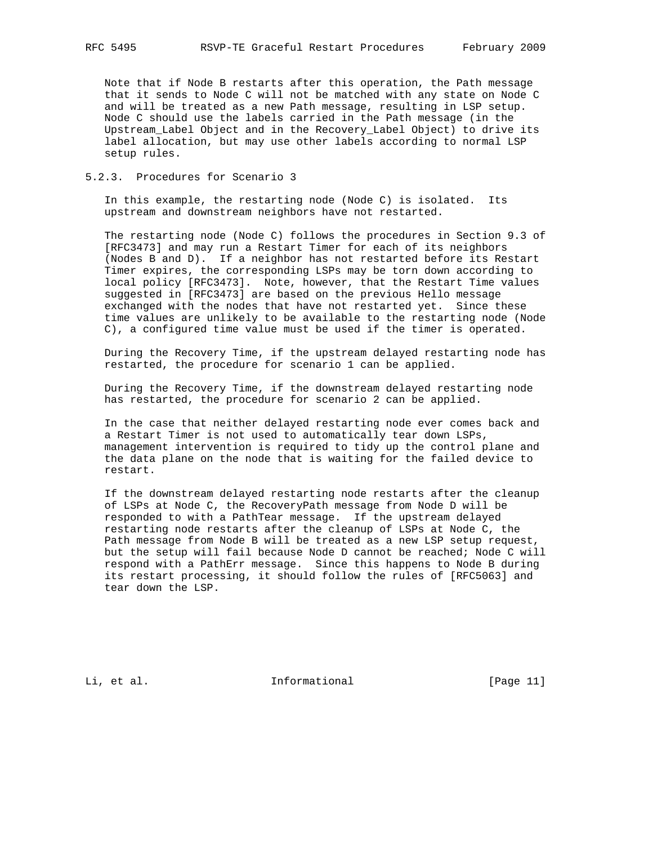Note that if Node B restarts after this operation, the Path message that it sends to Node C will not be matched with any state on Node C and will be treated as a new Path message, resulting in LSP setup. Node C should use the labels carried in the Path message (in the Upstream\_Label Object and in the Recovery\_Label Object) to drive its label allocation, but may use other labels according to normal LSP setup rules.

# 5.2.3. Procedures for Scenario 3

 In this example, the restarting node (Node C) is isolated. Its upstream and downstream neighbors have not restarted.

 The restarting node (Node C) follows the procedures in Section 9.3 of [RFC3473] and may run a Restart Timer for each of its neighbors (Nodes B and D). If a neighbor has not restarted before its Restart Timer expires, the corresponding LSPs may be torn down according to local policy [RFC3473]. Note, however, that the Restart Time values suggested in [RFC3473] are based on the previous Hello message exchanged with the nodes that have not restarted yet. Since these time values are unlikely to be available to the restarting node (Node C), a configured time value must be used if the timer is operated.

 During the Recovery Time, if the upstream delayed restarting node has restarted, the procedure for scenario 1 can be applied.

 During the Recovery Time, if the downstream delayed restarting node has restarted, the procedure for scenario 2 can be applied.

 In the case that neither delayed restarting node ever comes back and a Restart Timer is not used to automatically tear down LSPs, management intervention is required to tidy up the control plane and the data plane on the node that is waiting for the failed device to restart.

 If the downstream delayed restarting node restarts after the cleanup of LSPs at Node C, the RecoveryPath message from Node D will be responded to with a PathTear message. If the upstream delayed restarting node restarts after the cleanup of LSPs at Node C, the Path message from Node B will be treated as a new LSP setup request, but the setup will fail because Node D cannot be reached; Node C will respond with a PathErr message. Since this happens to Node B during its restart processing, it should follow the rules of [RFC5063] and tear down the LSP.

Li, et al. 10. Informational [Page 11]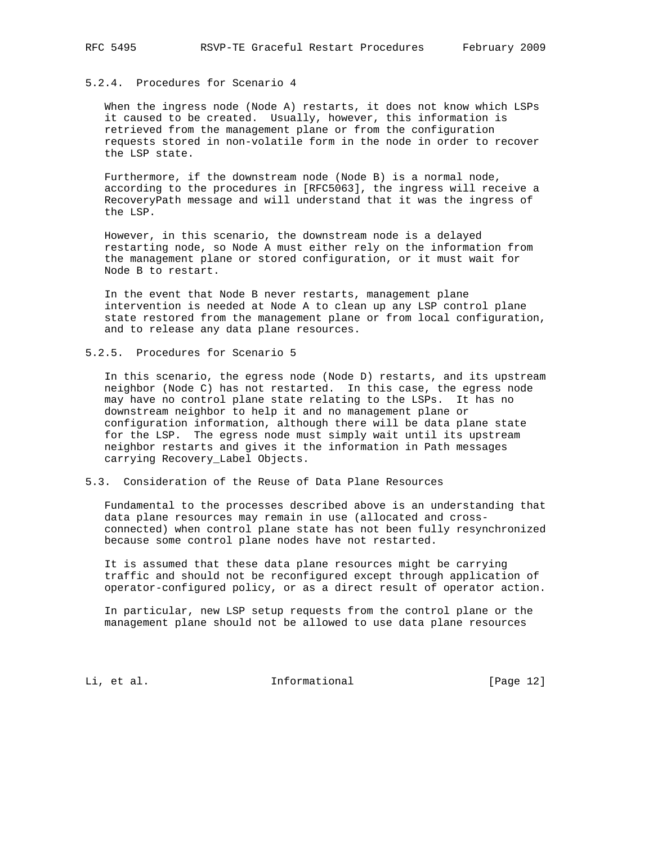# 5.2.4. Procedures for Scenario 4

 When the ingress node (Node A) restarts, it does not know which LSPs it caused to be created. Usually, however, this information is retrieved from the management plane or from the configuration requests stored in non-volatile form in the node in order to recover the LSP state.

 Furthermore, if the downstream node (Node B) is a normal node, according to the procedures in [RFC5063], the ingress will receive a RecoveryPath message and will understand that it was the ingress of the LSP.

 However, in this scenario, the downstream node is a delayed restarting node, so Node A must either rely on the information from the management plane or stored configuration, or it must wait for Node B to restart.

 In the event that Node B never restarts, management plane intervention is needed at Node A to clean up any LSP control plane state restored from the management plane or from local configuration, and to release any data plane resources.

## 5.2.5. Procedures for Scenario 5

 In this scenario, the egress node (Node D) restarts, and its upstream neighbor (Node C) has not restarted. In this case, the egress node may have no control plane state relating to the LSPs. It has no downstream neighbor to help it and no management plane or configuration information, although there will be data plane state for the LSP. The egress node must simply wait until its upstream neighbor restarts and gives it the information in Path messages carrying Recovery\_Label Objects.

# 5.3. Consideration of the Reuse of Data Plane Resources

 Fundamental to the processes described above is an understanding that data plane resources may remain in use (allocated and cross connected) when control plane state has not been fully resynchronized because some control plane nodes have not restarted.

 It is assumed that these data plane resources might be carrying traffic and should not be reconfigured except through application of operator-configured policy, or as a direct result of operator action.

 In particular, new LSP setup requests from the control plane or the management plane should not be allowed to use data plane resources

Li, et al. 10. Informational [Page 12]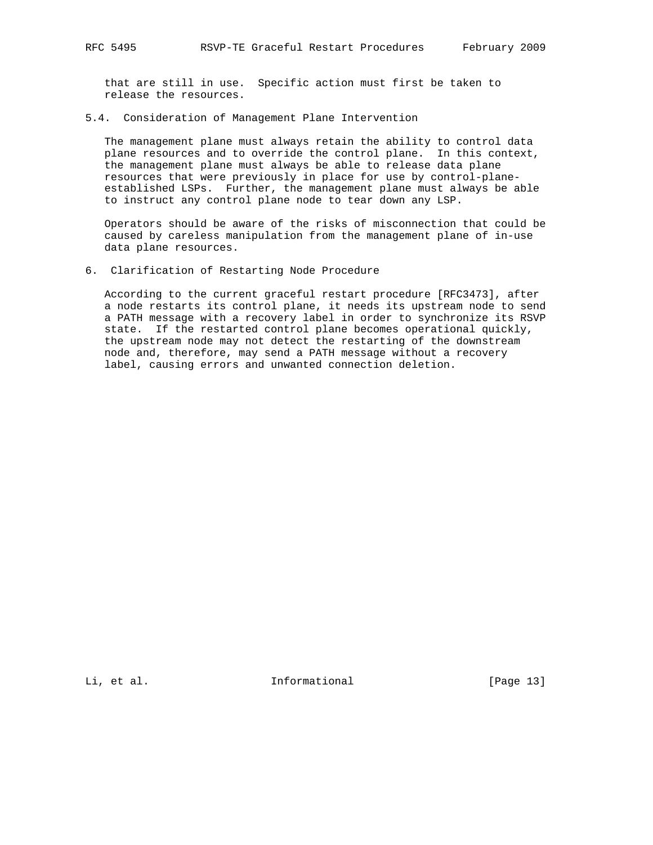that are still in use. Specific action must first be taken to release the resources.

5.4. Consideration of Management Plane Intervention

 The management plane must always retain the ability to control data plane resources and to override the control plane. In this context, the management plane must always be able to release data plane resources that were previously in place for use by control-plane established LSPs. Further, the management plane must always be able to instruct any control plane node to tear down any LSP.

 Operators should be aware of the risks of misconnection that could be caused by careless manipulation from the management plane of in-use data plane resources.

6. Clarification of Restarting Node Procedure

 According to the current graceful restart procedure [RFC3473], after a node restarts its control plane, it needs its upstream node to send a PATH message with a recovery label in order to synchronize its RSVP state. If the restarted control plane becomes operational quickly, the upstream node may not detect the restarting of the downstream node and, therefore, may send a PATH message without a recovery label, causing errors and unwanted connection deletion.

Li, et al. 10. Informational [Page 13]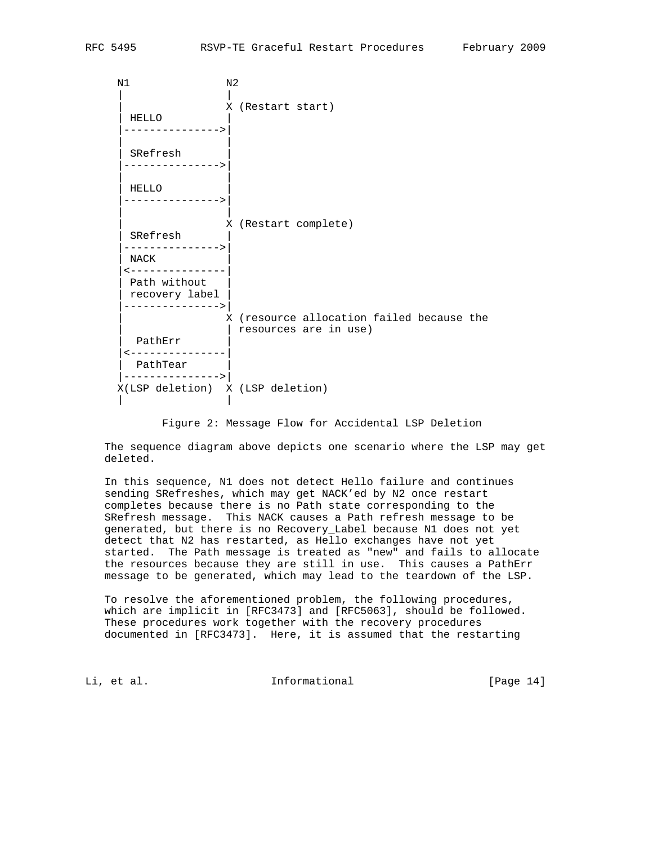N1 N2 | | |<br>| X (Restart start)<br>| | HELLO | |--------------->| | | SRefresh |--------------->| | | | HELLO | |--------------->| | | | X (Restart complete) | SRefresh | |--------------->| | NACK | |<---------------| Path without recovery label |--------------->| X (resource allocation failed because the | | resources are in use) | PathErr | |<---------------| PathTear |--------------->| X(LSP deletion) X (LSP deletion) | |

Figure 2: Message Flow for Accidental LSP Deletion

 The sequence diagram above depicts one scenario where the LSP may get deleted.

 In this sequence, N1 does not detect Hello failure and continues sending SRefreshes, which may get NACK'ed by N2 once restart completes because there is no Path state corresponding to the SRefresh message. This NACK causes a Path refresh message to be generated, but there is no Recovery\_Label because N1 does not yet detect that N2 has restarted, as Hello exchanges have not yet started. The Path message is treated as "new" and fails to allocate the resources because they are still in use. This causes a PathErr message to be generated, which may lead to the teardown of the LSP.

 To resolve the aforementioned problem, the following procedures, which are implicit in [RFC3473] and [RFC5063], should be followed. These procedures work together with the recovery procedures documented in [RFC3473]. Here, it is assumed that the restarting

Li, et al. 10. Informational 1. [Page 14]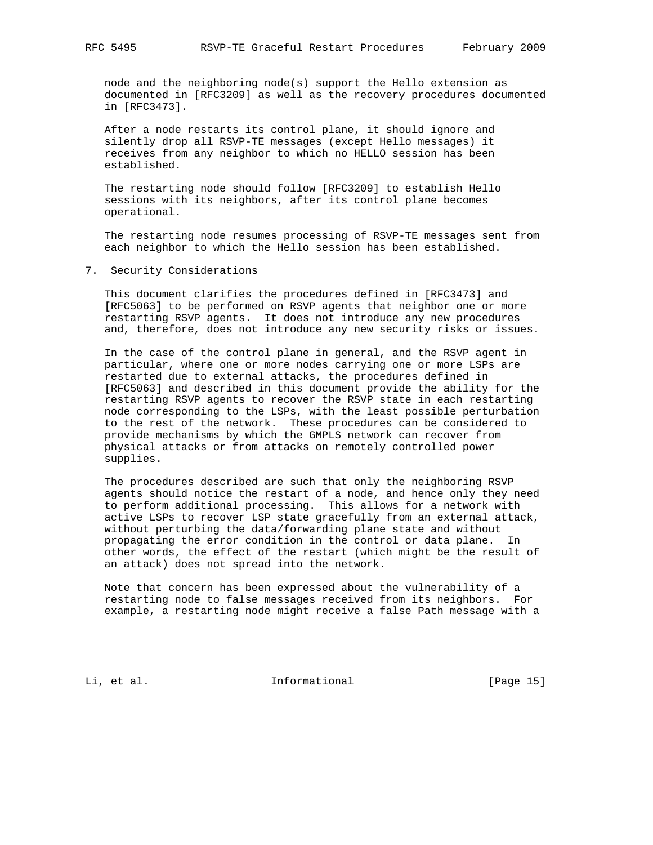node and the neighboring node(s) support the Hello extension as documented in [RFC3209] as well as the recovery procedures documented in [RFC3473].

 After a node restarts its control plane, it should ignore and silently drop all RSVP-TE messages (except Hello messages) it receives from any neighbor to which no HELLO session has been established.

 The restarting node should follow [RFC3209] to establish Hello sessions with its neighbors, after its control plane becomes operational.

 The restarting node resumes processing of RSVP-TE messages sent from each neighbor to which the Hello session has been established.

7. Security Considerations

 This document clarifies the procedures defined in [RFC3473] and [RFC5063] to be performed on RSVP agents that neighbor one or more restarting RSVP agents. It does not introduce any new procedures and, therefore, does not introduce any new security risks or issues.

 In the case of the control plane in general, and the RSVP agent in particular, where one or more nodes carrying one or more LSPs are restarted due to external attacks, the procedures defined in [RFC5063] and described in this document provide the ability for the restarting RSVP agents to recover the RSVP state in each restarting node corresponding to the LSPs, with the least possible perturbation to the rest of the network. These procedures can be considered to provide mechanisms by which the GMPLS network can recover from physical attacks or from attacks on remotely controlled power supplies.

 The procedures described are such that only the neighboring RSVP agents should notice the restart of a node, and hence only they need to perform additional processing. This allows for a network with active LSPs to recover LSP state gracefully from an external attack, without perturbing the data/forwarding plane state and without propagating the error condition in the control or data plane. In other words, the effect of the restart (which might be the result of an attack) does not spread into the network.

 Note that concern has been expressed about the vulnerability of a restarting node to false messages received from its neighbors. For example, a restarting node might receive a false Path message with a

Li, et al. 10. Informational [Page 15]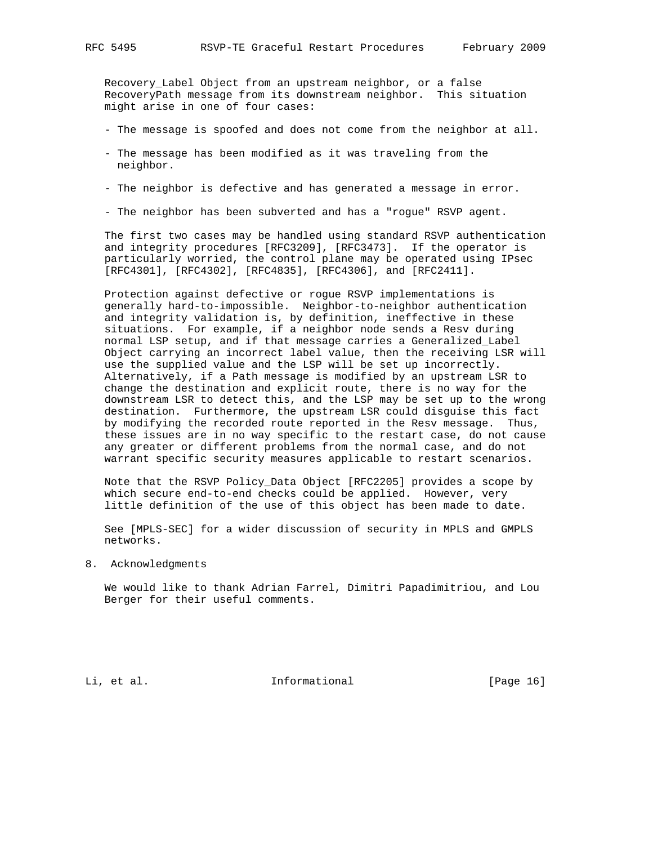Recovery\_Label Object from an upstream neighbor, or a false RecoveryPath message from its downstream neighbor. This situation might arise in one of four cases:

- The message is spoofed and does not come from the neighbor at all.
- The message has been modified as it was traveling from the neighbor.
- The neighbor is defective and has generated a message in error.
- The neighbor has been subverted and has a "rogue" RSVP agent.

 The first two cases may be handled using standard RSVP authentication and integrity procedures [RFC3209], [RFC3473]. If the operator is particularly worried, the control plane may be operated using IPsec [RFC4301], [RFC4302], [RFC4835], [RFC4306], and [RFC2411].

 Protection against defective or rogue RSVP implementations is generally hard-to-impossible. Neighbor-to-neighbor authentication and integrity validation is, by definition, ineffective in these situations. For example, if a neighbor node sends a Resv during normal LSP setup, and if that message carries a Generalized\_Label Object carrying an incorrect label value, then the receiving LSR will use the supplied value and the LSP will be set up incorrectly. Alternatively, if a Path message is modified by an upstream LSR to change the destination and explicit route, there is no way for the downstream LSR to detect this, and the LSP may be set up to the wrong destination. Furthermore, the upstream LSR could disguise this fact by modifying the recorded route reported in the Resv message. Thus, these issues are in no way specific to the restart case, do not cause any greater or different problems from the normal case, and do not warrant specific security measures applicable to restart scenarios.

 Note that the RSVP Policy\_Data Object [RFC2205] provides a scope by which secure end-to-end checks could be applied. However, very little definition of the use of this object has been made to date.

 See [MPLS-SEC] for a wider discussion of security in MPLS and GMPLS networks.

8. Acknowledgments

 We would like to thank Adrian Farrel, Dimitri Papadimitriou, and Lou Berger for their useful comments.

Li, et al. 10. Informational [Page 16]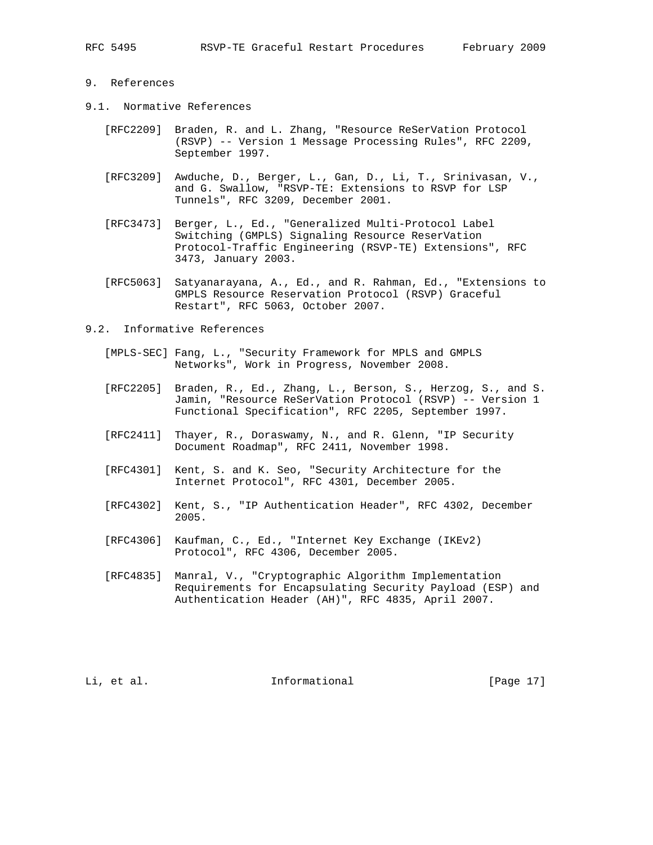## 9. References

- 9.1. Normative References
	- [RFC2209] Braden, R. and L. Zhang, "Resource ReSerVation Protocol (RSVP) -- Version 1 Message Processing Rules", RFC 2209, September 1997.
	- [RFC3209] Awduche, D., Berger, L., Gan, D., Li, T., Srinivasan, V., and G. Swallow, "RSVP-TE: Extensions to RSVP for LSP Tunnels", RFC 3209, December 2001.
	- [RFC3473] Berger, L., Ed., "Generalized Multi-Protocol Label Switching (GMPLS) Signaling Resource ReserVation Protocol-Traffic Engineering (RSVP-TE) Extensions", RFC 3473, January 2003.
	- [RFC5063] Satyanarayana, A., Ed., and R. Rahman, Ed., "Extensions to GMPLS Resource Reservation Protocol (RSVP) Graceful Restart", RFC 5063, October 2007.
- 9.2. Informative References
	- [MPLS-SEC] Fang, L., "Security Framework for MPLS and GMPLS Networks", Work in Progress, November 2008.
	- [RFC2205] Braden, R., Ed., Zhang, L., Berson, S., Herzog, S., and S. Jamin, "Resource ReSerVation Protocol (RSVP) -- Version 1 Functional Specification", RFC 2205, September 1997.
	- [RFC2411] Thayer, R., Doraswamy, N., and R. Glenn, "IP Security Document Roadmap", RFC 2411, November 1998.
	- [RFC4301] Kent, S. and K. Seo, "Security Architecture for the Internet Protocol", RFC 4301, December 2005.
	- [RFC4302] Kent, S., "IP Authentication Header", RFC 4302, December 2005.
	- [RFC4306] Kaufman, C., Ed., "Internet Key Exchange (IKEv2) Protocol", RFC 4306, December 2005.
	- [RFC4835] Manral, V., "Cryptographic Algorithm Implementation Requirements for Encapsulating Security Payload (ESP) and Authentication Header (AH)", RFC 4835, April 2007.

Li, et al. 10. Informational 1. [Page 17]